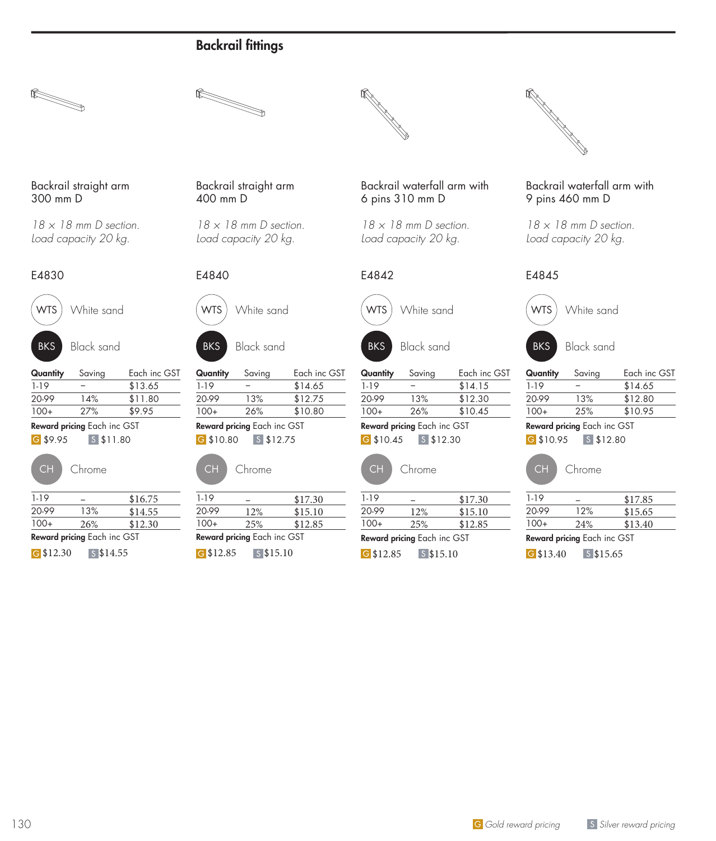







*18 × 18 mm D section. Load capacity 20 kg.*





BKS Black sand

| Quantity | Saving                      | Each inc GST |  |
|----------|-----------------------------|--------------|--|
| $1 - 19$ |                             | \$13.65      |  |
| 20-99    | 14%                         | \$11.80      |  |
| $100+$   | 27%                         | \$9.95       |  |
|          | Reward pricing Each inc GST |              |  |

G \$9.95 S \$11.80

| Chrc |
|------|
|      |

|        | Reward pricing Each inc GST |         |
|--------|-----------------------------|---------|
| $100+$ | 26%                         | \$12.30 |
| 20-99  | 13%                         | \$14.55 |
| 1-19   |                             | \$16.75 |

G \$12.30 \ S \$14.55

Backrail straight arm 400 mm D

*18 × 18 mm D section. Load capacity 20 kg.*



WTS White sand





| Quantity    | Saving                      | Each inc GST |  |
|-------------|-----------------------------|--------------|--|
| $1-19$      |                             | \$14.65      |  |
| 20-99       | 13%                         | \$12.75      |  |
| $100+$      | 26%                         | \$10.80      |  |
|             | Reward pricing Each inc GST |              |  |
| $G$ \$10.80 | $S$ \$12.75                 |              |  |
|             |                             |              |  |

| Chrome |  |
|--------|--|
|        |  |

| $1 - 19$                    |             | \$17.30 |  |
|-----------------------------|-------------|---------|--|
| 20-99                       | 12%         | \$15.10 |  |
| $100+$                      | 2.5%        | \$12.85 |  |
| Reward pricing Each inc GST |             |         |  |
| G $$12.85$                  | $s$ \$15.10 |         |  |

Backrail waterfall arm with 6 pins 310 mm D

*18 × 18 mm D section. Load capacity 20 kg.*





BKS Black sand

| Quantity | Saving | Each inc GST |
|----------|--------|--------------|
| 1-19     |        | \$14.15      |
| 20-99    | 13%    | \$12.30      |
| $100+$   | 26%    | \$10.45      |
|          |        |              |

G \$10.45 S \$12.30 Reward pricing Each inc GST



| 1-19   |     | \$17.30 |
|--------|-----|---------|
| 20-99  | 12% | \$15.10 |
| $100+$ | 25% | \$12.85 |

G \$12.85 \ S \$15.10



## Backrail waterfall arm with 9 pins 460 mm D

*18 × 18 mm D section. Load capacity 20 kg.*

## E4845



| Quantity | Saving | Each inc GST |
|----------|--------|--------------|
| 1-19     |        | \$14.65      |
| 20-99    | 13%    | \$12.80      |
| $100+$   | 2.5%   | \$10.95      |

#### G \$10.95 S \$12.80 Reward pricing Each inc GST



| 1-19   |     | \$17.85 |
|--------|-----|---------|
| 20-99  | 12% | \$15.65 |
| $100+$ | 24% | \$13.40 |

Reward pricing Each inc GST

G \$13.40 \$\$15.65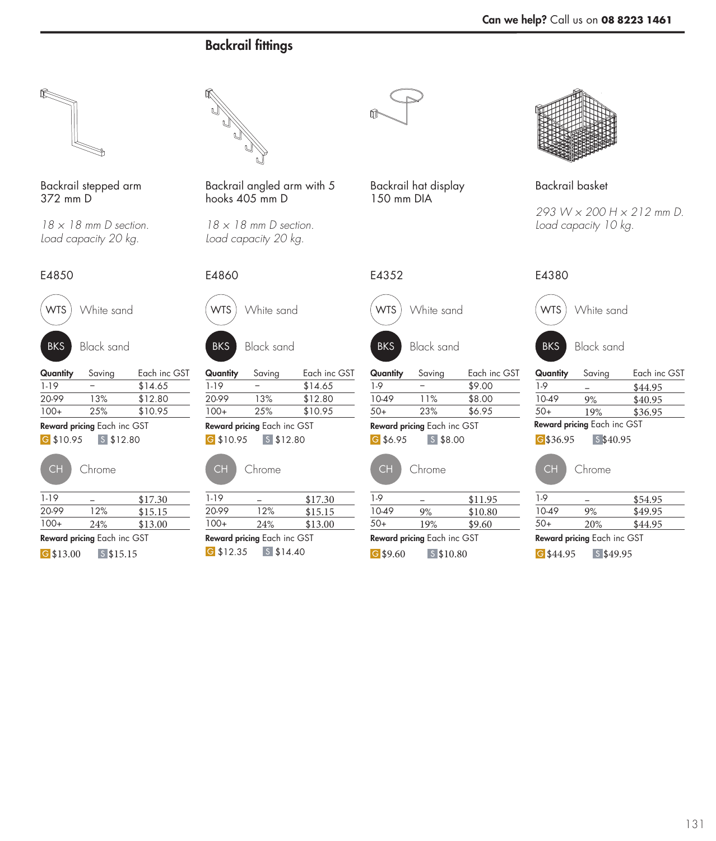

Backrail stepped arm 372 mm D

*18 × 18 mm D section. Load capacity 20 kg.*



WTS White sand

| Quantity | Saving                      | Each inc GST |
|----------|-----------------------------|--------------|
| 1-19     |                             | \$14.65      |
| 20-99    | 13%                         | \$12.80      |
| $100+$   | 2.5%                        | \$10.95      |
|          | Reward pricing Each inc GST |              |

G \$10.95 S \$12.80

| $1 - 19$    |                                    | \$17.30 |
|-------------|------------------------------------|---------|
| 20-99       | 12%                                | \$15.15 |
| $100+$      | 24%                                | \$13.00 |
|             | <b>Reward pricing Each inc GST</b> |         |
| $G$ \$13.00 | $S$ \$15.15                        |         |



Backrail angled arm with 5 hooks 405 mm D

*18 × 18 mm D section. Load capacity 20 kg.*







| Quantity | Saving | Each inc GST |
|----------|--------|--------------|
| 1-19     |        | \$14.65      |
| 20-99    | 13%    | \$12.80      |
| $100+$   | 2.5%   | \$10.95      |
|          |        |              |

|  | Chrome |
|--|--------|
|--|--------|

| $1-19$      |                                    | \$17.30 |
|-------------|------------------------------------|---------|
| 20-99       | 12%                                | \$15.15 |
| $100+$      | 24%                                | \$13.00 |
|             | <b>Reward pricing</b> Each inc GST |         |
| $G$ \$12.35 | $S$ \$14.40                        |         |

Backrail hat display 150 mm DIA



| Quantity | Saving                      | Each inc GST |
|----------|-----------------------------|--------------|
| 1.9      |                             | \$9.00       |
| 10-49    | 11%                         | \$8.00       |
| $50+$    | 23%                         | \$6.95       |
|          | Reward pricing Each inc GST |              |

| Chrom |
|-------|

| 1.9        |                             | \$11.95 |
|------------|-----------------------------|---------|
| 10-49      | 9%                          | \$10.80 |
| $50+$      | 19%                         | \$9.60  |
|            | Reward pricing Each inc GST |         |
| $G$ \$9.60 | $S$ \$10.80                 |         |



Backrail basket

*293 W × 200 H × 212 mm D. Load capacity 10 kg.*

| 4850       |                           |              | E4860      |                             |              | E4352      |                             |              | E4380       |                             |              |
|------------|---------------------------|--------------|------------|-----------------------------|--------------|------------|-----------------------------|--------------|-------------|-----------------------------|--------------|
| <b>NTS</b> | White sand                |              | <b>WTS</b> | White sand                  |              | <b>WTS</b> | White sand                  |              | <b>WTS</b>  | White sand                  |              |
| <b>BKS</b> | <b>Black sand</b>         |              | <b>BKS</b> | <b>Black sand</b>           |              | <b>BKS</b> | <b>Black sand</b>           |              | <b>BKS</b>  | <b>Black sand</b>           |              |
| Jantity    | Saving                    | Each inc GST | Quantity   | Saving                      | Each inc GST | Quantity   | Saving                      | Each inc GST | Quantity    | Saving                      | Each inc GST |
| 19         |                           | \$14.65      | $1 - 19$   |                             | \$14.65      | $1-9$      |                             | \$9.00       | $1-9$       |                             | \$44.95      |
| )-99       | 13%                       | \$12.80      | 20-99      | 13%                         | \$12.80      | 10-49      | 11%                         | \$8.00       | 10-49       | 9%                          | \$40.95      |
| -00        | 25%                       | \$10.95      | $100+$     | 25%                         | \$10.95      | $50+$      | 23%                         | \$6.95       | $50+$       | 19%                         | \$36.95      |
|            | ward pricing Each inc GST |              |            | Reward pricing Each inc GST |              |            | Reward pricing Each inc GST |              |             | Reward pricing Each inc GST |              |
| \$10.95    | $S$ \$12.80               |              | G \$10.95  | $S$ \$12.80                 |              | $G$ \$6.95 | $S$ \$8.00                  |              | G\$36.95    | \$40.95                     |              |
| <b>CH</b>  | Chrome                    |              | <b>CH</b>  | Chrome                      |              | <b>CH</b>  | Chrome                      |              | CH          | Chrome                      |              |
| 19         |                           | \$17.30      | $1 - 19$   |                             | \$17.30      | 1-9        |                             | \$11.95      | 1-9         |                             | \$54.95      |
| )-99       | 12%                       | \$15.15      | 20-99      | 12%                         | \$15.15      | 10-49      | 9%                          | \$10.80      | 10-49       | 9%                          | \$49.95      |
| $0+$       | 24%                       | \$13.00      | 100+       | 24%                         | \$13.00      | $50+$      | 19%                         | \$9.60       | 50+         | 20%                         | \$44.95      |
|            | ward pricing Each inc GST |              |            | Reward pricing Each inc GST |              |            | Reward pricing Each inc GST |              |             | Reward pricing Each inc GST |              |
| \$13.00    | $S$ \$15.15               |              | G \$12.35  | $S$ \$14.40                 |              | $G$ \$9.60 | $s$ \$10.80                 |              | $G$ \$44.95 | $S$ \$49.95                 |              |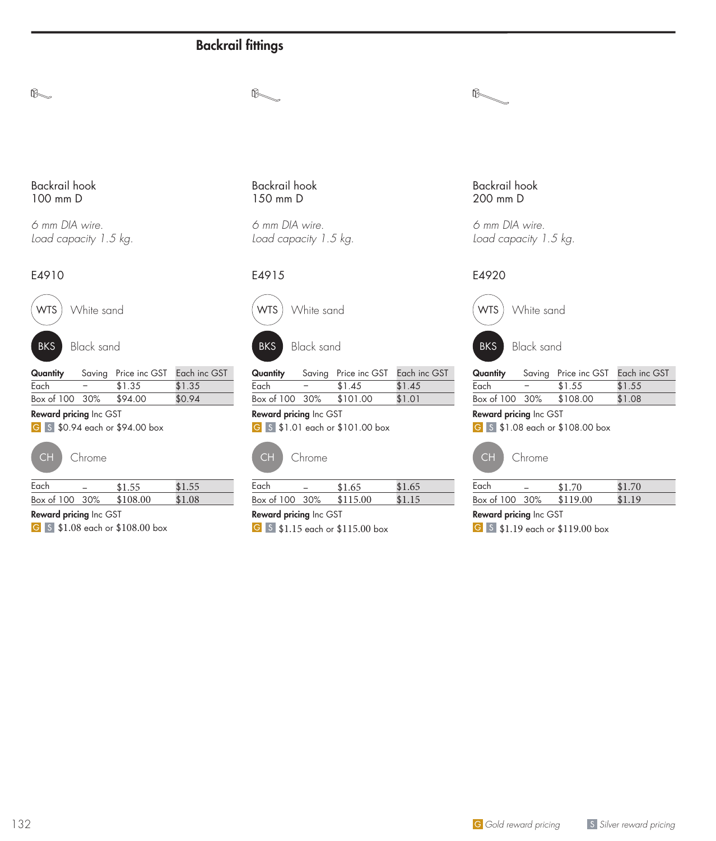$\mathbb{R}$ 

#### Backrail hook 100 mm D

 $\mathbb{R}_{\text{max}}% \begin{pmatrix} \omega_{11} & \omega_{12}\\ \omega_{21} & \omega_{22}\\ \omega_{22} & \omega_{22}% \end{pmatrix} \qquad \qquad \alpha_{11}^{(1)}\ldots\alpha_{18}^{(k)}\ldots\alpha_{18}^{(k)}$ 

*6 mm DIA wire. Load capacity 1.5 kg.*

## E4910



WTS White sand

BKS Black sand

| Quantity       |     | Saving Price inc GST Each inc GST |        |
|----------------|-----|-----------------------------------|--------|
| Each           | $-$ | \$1.35                            | \$1.35 |
| Box of 100 30% |     | \$94.00                           | \$0.94 |

#### Reward pricing Inc GST

**6** \$1, \$0.94 each or \$94.00 box



| Each           | <b>4155</b> | \$155       |  |
|----------------|-------------|-------------|--|
| Box of 100 30% | \$108.00    | $$1 \Omega$ |  |
|                |             |             |  |

Reward pricing Inc GST

G S \$1.08 each or \$108.00 box

Backrail hook 150 mm D

*6 mm DIA wire. Load capacity 1.5 kg.*

## E4915



WTS White sand



Quantity Saving Price inc GST Each inc GST Each − \$1.45 \$1.45 Box of 100 30% \$101.00 \$1.01

Reward pricing Inc GST G S \$1.01 each or \$101.00 box



| Each                          |  | \$1.65   | \$1.65 |  |  |
|-------------------------------|--|----------|--------|--|--|
| Box of 100 30%                |  | \$115.00 | \$1.15 |  |  |
| <b>Reward pricing Inc GST</b> |  |          |        |  |  |

**6** \$1.15 each or \$115.00 box

#### Backrail hook 200 mm D

 $\n *0*$ 

*6 mm DIA wire. Load capacity 1.5 kg.*

## E4920



| Quantity       |     | Saving Price inc GST Each inc GST |        |
|----------------|-----|-----------------------------------|--------|
| Each           | $-$ | \$1.55                            | \$1.55 |
| Box of 100 30% |     | \$108.00                          | \$1.08 |

#### Reward pricing Inc GST

**6** 5 \$1.08 each or \$108.00 box



| Each           | \$170    | \$1.70 |  |
|----------------|----------|--------|--|
| Box of 100 30% | \$119.00 | \$1.19 |  |
|                |          |        |  |

Reward pricing Inc GST

G S \$1.19 each or \$119.00 box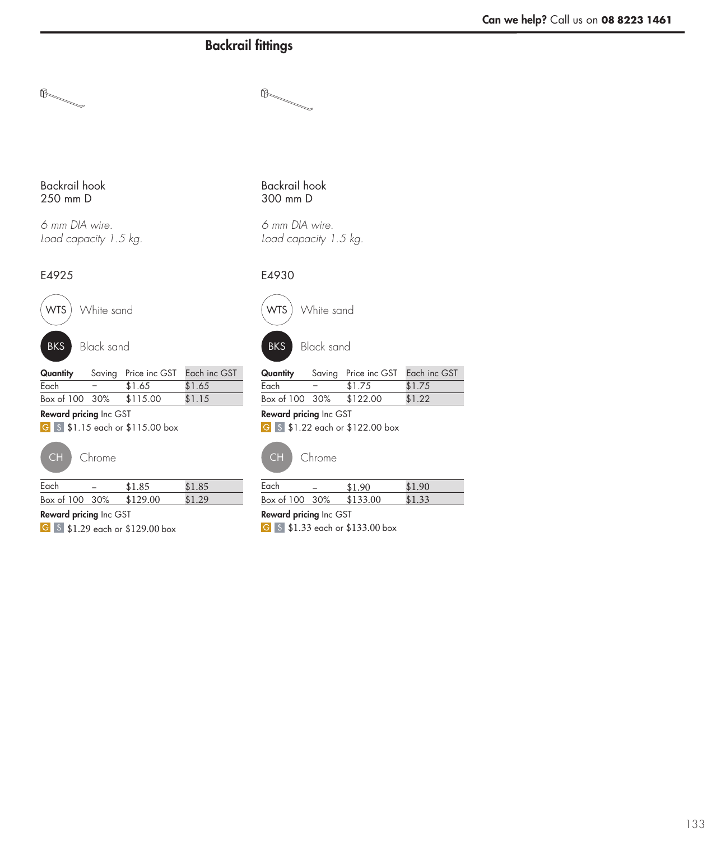$\mathbb{R}_{+}%$ 

### Backrail hook 250 mm D

 $\mathbb{R}$ 

*6 mm DIA wire. Load capacity 1.5 kg.*

## E4925



WTS White sand



BKS Black sand

| Quantity       |      | Saving Price inc GST Each inc GST |        |
|----------------|------|-----------------------------------|--------|
| Each           | $ -$ | \$1.65                            | \$1.65 |
| Box of 100 30% |      | \$115.00                          | \$1.15 |

#### Reward pricing Inc GST

G S \$1.15 each or \$115.00 box



| Each           | \$1.85   | \$1.85 |
|----------------|----------|--------|
| Box of 100 30% | \$129.00 | \$1.29 |

Reward pricing Inc GST

6 5 \$1.29 each or \$129.00 box

### Backrail hook 300 mm D

*6 mm DIA wire. Load capacity 1.5 kg.*

## E4930



WTS) White sand



BKS Black sand

| Quantity       |     | Saving Price inc GST Each inc GST |        |
|----------------|-----|-----------------------------------|--------|
| Each           | $-$ | \$1.75                            | \$1.75 |
| Box of 100 30% |     | \$122.00                          | \$1.22 |

### Reward pricing Inc GST

6 \$1.22 each or \$122.00 box



CH Chrome CH Chrome

| Each           | \$1.90   | \$190  |
|----------------|----------|--------|
| Box of 100 30% | \$133.00 | \$1.33 |
|                |          |        |

#### Reward pricing Inc GST

6 \$1.33 each or \$133.00 box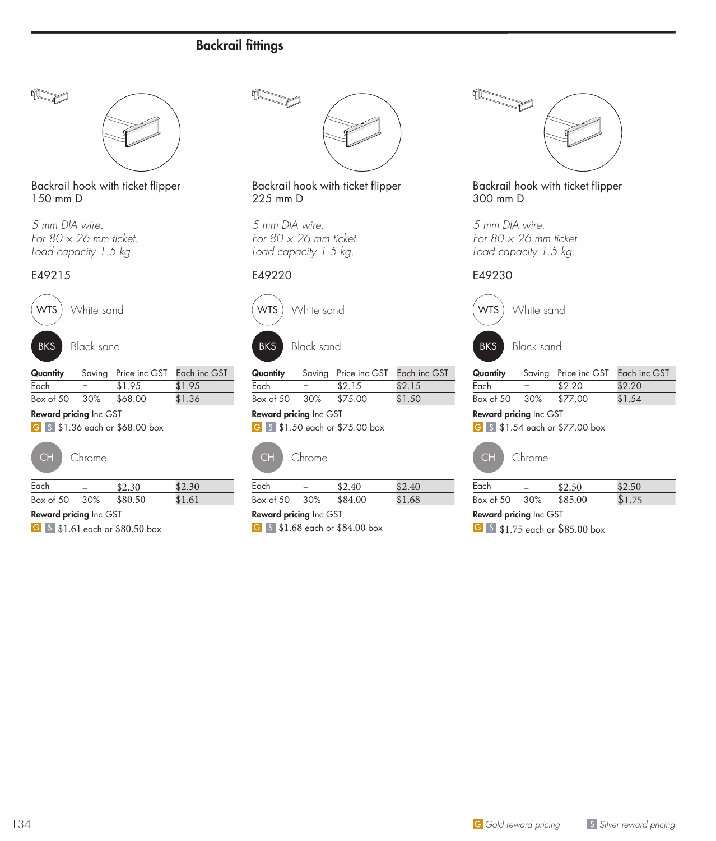

Backrail hook with ticket flipper 150 mm D

*5 mm DIA wire. For 80 × 26 mm ticket. Load capacity 1.5 kg*

#### E49215





BKS Black sand

| Quantity              |     | Saving Price inc GST Each inc GST |        |
|-----------------------|-----|-----------------------------------|--------|
| Each                  | $-$ | \$1.95                            | \$1.95 |
| Box of 50 30% \$68,00 |     |                                   | \$1.36 |

#### Reward pricing Inc GST

**6** 5 \$1.36 each or \$68.00 box



| Each      |     | \$2.30  | \$2,30 |
|-----------|-----|---------|--------|
| Box of 50 | 30% | \$80.50 | \$1.61 |

Reward pricing Inc GST

**6** \$1.61 each or \$80.50 box



### Backrail hook with ticket flipper 225 mm D

*5 mm DIA wire. For 80 × 26 mm ticket. Load capacity 1.5 kg.*

## E49220





| Quantity      |      | Saving Price inc GST Each inc GST |        |
|---------------|------|-----------------------------------|--------|
| Each          | $ -$ | \$2.15                            | \$2.15 |
| Box of 50 30% |      | \$75.00                           | \$1.50 |

Reward pricing Inc GST **6** \$1.50 each or \$75.00 box



| Chrome |
|--------|
|        |

| Each                          |  | \$2.40  | \$2.40 |  |
|-------------------------------|--|---------|--------|--|
| Box of 50 30%                 |  | \$84.00 | \$1.68 |  |
| <b>Reward pricing Inc GST</b> |  |         |        |  |

**6** 5 \$1.68 each or \$84.00 box



Backrail hook with ticket flipper 300 mm D

*5 mm DIA wire. For 80 × 26 mm ticket. Load capacity 1.5 kg.*

## E49230



|  | <b>Quantity</b> Saving Price inc GST Each inc GST |  |
|--|---------------------------------------------------|--|

|                       | <b>Godinity Caving Trice include Each include</b> |        |
|-----------------------|---------------------------------------------------|--------|
| Each                  | \$2.20                                            | \$2.20 |
| Box of $50\quad 30\%$ | \$77.00                                           | \$1.54 |

#### Reward pricing Inc GST

**6** \$1.54 each or \$77.00 box



| Each      |     | 42.50   | 42.50 |  |
|-----------|-----|---------|-------|--|
| Box of 50 | 30% | \$85.00 |       |  |

## Reward pricing Inc GST

**6** \$1.75 each or \$85.00 box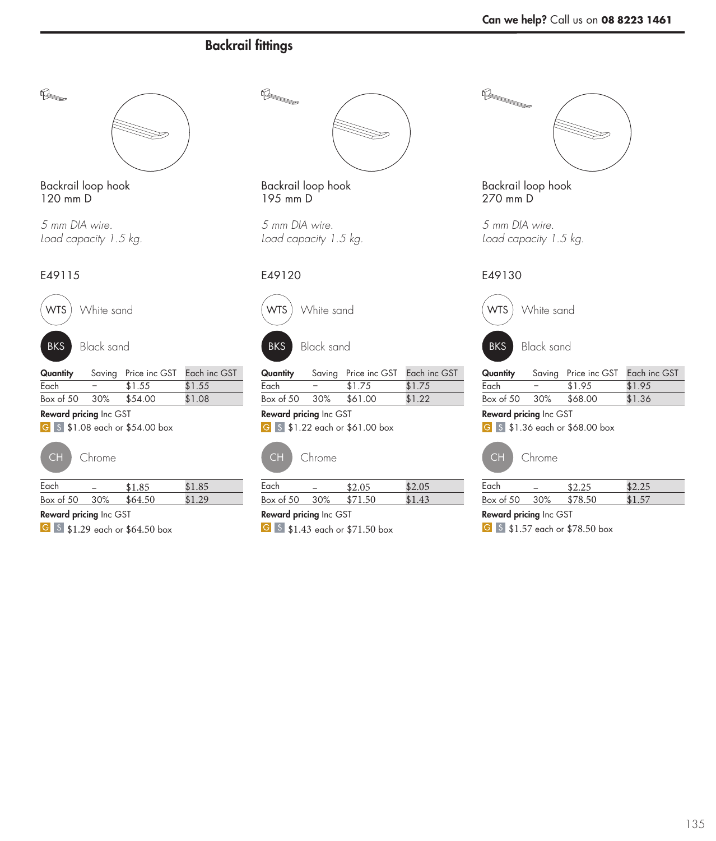$\begin{picture}(20,20) \put(0,0){\vector(1,0){10}} \put(15,0){\vector(1,0){10}} \put(15,0){\vector(1,0){10}} \put(15,0){\vector(1,0){10}} \put(15,0){\vector(1,0){10}} \put(15,0){\vector(1,0){10}} \put(15,0){\vector(1,0){10}} \put(15,0){\vector(1,0){10}} \put(15,0){\vector(1,0){10}} \put(15,0){\vector(1,0){10}} \put(15,0){\vector(1,0){10}} \put(15,0){\vector(1$ 



Backrail loop hook 120 mm D

*5 mm DIA wire. Load capacity 1.5 kg.*

## E49115

 $\mathbb{R}$ 



BKS Black sand

|                       |      | <b>Quantity</b> Saving Price inc GST Each inc GST |        |
|-----------------------|------|---------------------------------------------------|--------|
| Each                  | $ -$ | \$1.55                                            | \$1.55 |
| Box of 50 30% \$54.00 |      |                                                   | \$1.08 |

#### Reward pricing Inc GST

G S \$1.08 each or \$54.00 box



| Each          |                | \$1.85  | \$1.85 |  |
|---------------|----------------|---------|--------|--|
| Box of 50 30% |                | \$64.50 | \$1.29 |  |
| -             | $\blacksquare$ |         |        |  |

Reward pricing Inc GST

**6** 5 \$1.29 each or \$64.50 box



Backrail loop hook 195 mm D

*5 mm DIA wire. Load capacity 1.5 kg.*

## E49120



WTS White sand



BKS Black sand

| Quantity              |     | Saving Price inc GST Each inc GST |        |
|-----------------------|-----|-----------------------------------|--------|
| Each                  | $-$ | \$1.75                            | \$1.75 |
| Box of $50\quad 30\%$ |     | \$61.00                           | \$1.22 |

Reward pricing Inc GST G S \$1.22 each or \$61.00 box



| Box of 50 30% | \$71.50 | \$1.43 |  |
|---------------|---------|--------|--|
| Each          | \$2.05  | \$2.05 |  |
|               |         |        |  |

Reward pricing Inc GST

G 5 \$1.43 each or \$71.50 box



Backrail loop hook 270 mm D

*5 mm DIA wire. Load capacity 1.5 kg.*

## E49130



| Quantity      |     | Saving Price inc GST Each inc GST |        |
|---------------|-----|-----------------------------------|--------|
| Each          | $-$ | \$1.95                            | \$1.95 |
| Box of 50 30% |     | \$68.00                           | \$1.36 |

#### Reward pricing Inc GST

**6** \$1.36 each or \$68.00 box



| Each      |        | \$2.25  | よつ つら |  |
|-----------|--------|---------|-------|--|
| Box of 50 | $30\%$ | \$78.50 | \$157 |  |
|           |        |         |       |  |

## Reward pricing Inc GST

6 5 \$1.57 each or \$78.50 box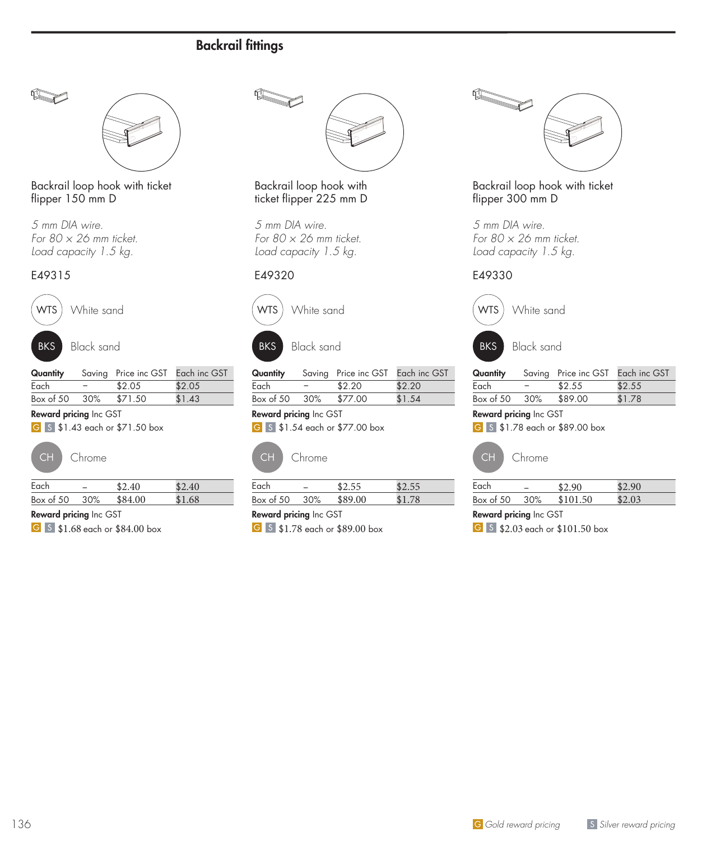

Backrail loop hook with ticket flipper 150 mm D

*5 mm DIA wire. For 80 × 26 mm ticket. Load capacity 1.5 kg.*

#### E49315





BKS Black sand

| Quantity      |      | Saving Price inc GST Each inc GST |        |
|---------------|------|-----------------------------------|--------|
| Each          | $ -$ | \$2.05                            | \$2.05 |
| Box of 50 30% |      | \$71.50                           | \$1.43 |

#### Reward pricing Inc GST

**6** 5 \$1.43 each or \$71.50 box



| Each      |     | \$2.40  | \$2.40 |
|-----------|-----|---------|--------|
| Box of 50 | 30% | \$84.00 | \$1.68 |

Reward pricing Inc GST

**6** \$1.68 each or \$84.00 box



### Backrail loop hook with ticket flipper 225 mm D

*5 mm DIA wire. For 80 × 26 mm ticket. Load capacity 1.5 kg.*

## E49320





| Quantity      |      | Saving Price inc GST Each inc GST |        |
|---------------|------|-----------------------------------|--------|
| Each          | $ -$ | \$2.20                            | \$2.20 |
| Box of 50 30% |      | \$77.00                           | \$1.54 |

Reward pricing Inc GST **6 S** \$1.54 each or \$77.00 box



| Chrome |
|--------|
|        |

| Each          |                   | \$2.55  | \$2.55 |  |
|---------------|-------------------|---------|--------|--|
| Box of 50 30% |                   | \$89.00 | \$1.78 |  |
| n.            | $\cdots$ $\cdots$ |         |        |  |

Reward pricing Inc GST

G 5 \$1.78 each or \$89.00 box



Backrail loop hook with ticket flipper 300 mm D

*5 mm DIA wire. For 80 × 26 mm ticket. Load capacity 1.5 kg.*

## E49330



| Quantity      | Saving Price inc GST Each inc GST |        |
|---------------|-----------------------------------|--------|
| Each          | \$2.55                            | \$2.55 |
| Box of 50 30% | \$89.00                           | \$1.78 |

#### Reward pricing Inc GST

**6** \$1.78 each or \$89.00 box



| Each          | \$2.90   | \$2.90 |
|---------------|----------|--------|
| Box of 50 30% | \$101.50 | \$2.03 |
| -             |          |        |

Reward pricing Inc GST

6 5 \$2.03 each or \$101.50 box